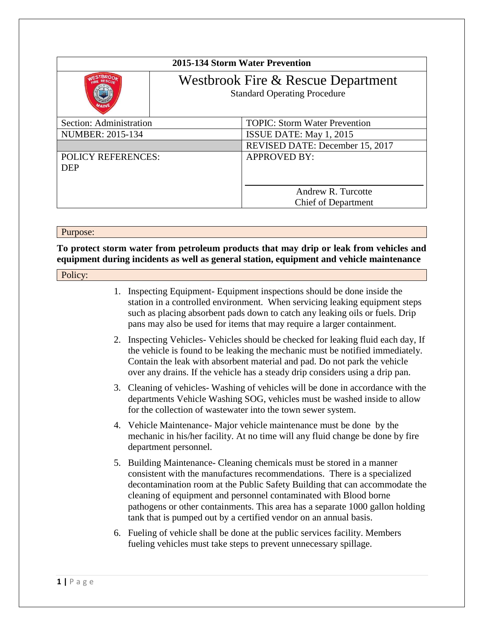| 2015-134 Storm Water Prevention |                                                                           |                                      |
|---------------------------------|---------------------------------------------------------------------------|--------------------------------------|
|                                 | Westbrook Fire & Rescue Department<br><b>Standard Operating Procedure</b> |                                      |
| Section: Administration         |                                                                           | <b>TOPIC: Storm Water Prevention</b> |
| <b>NUMBER: 2015-134</b>         |                                                                           | ISSUE DATE: May 1, 2015              |
|                                 |                                                                           | REVISED DATE: December 15, 2017      |
| <b>POLICY REFERENCES:</b>       |                                                                           | <b>APPROVED BY:</b>                  |
| <b>DEP</b>                      |                                                                           |                                      |
|                                 |                                                                           |                                      |
|                                 |                                                                           | Andrew R. Turcotte                   |
|                                 |                                                                           | <b>Chief of Department</b>           |

Purpose:

**To protect storm water from petroleum products that may drip or leak from vehicles and equipment during incidents as well as general station, equipment and vehicle maintenance** 

## Policy:

- 1. Inspecting Equipment- Equipment inspections should be done inside the station in a controlled environment. When servicing leaking equipment steps such as placing absorbent pads down to catch any leaking oils or fuels. Drip pans may also be used for items that may require a larger containment.
- 2. Inspecting Vehicles- Vehicles should be checked for leaking fluid each day, If the vehicle is found to be leaking the mechanic must be notified immediately. Contain the leak with absorbent material and pad. Do not park the vehicle over any drains. If the vehicle has a steady drip considers using a drip pan.
- 3. Cleaning of vehicles- Washing of vehicles will be done in accordance with the departments Vehicle Washing SOG, vehicles must be washed inside to allow for the collection of wastewater into the town sewer system.
- 4. Vehicle Maintenance- Major vehicle maintenance must be done by the mechanic in his/her facility. At no time will any fluid change be done by fire department personnel.
- 5. Building Maintenance- Cleaning chemicals must be stored in a manner consistent with the manufactures recommendations. There is a specialized decontamination room at the Public Safety Building that can accommodate the cleaning of equipment and personnel contaminated with Blood borne pathogens or other containments. This area has a separate 1000 gallon holding tank that is pumped out by a certified vendor on an annual basis.
- 6. Fueling of vehicle shall be done at the public services facility. Members fueling vehicles must take steps to prevent unnecessary spillage.